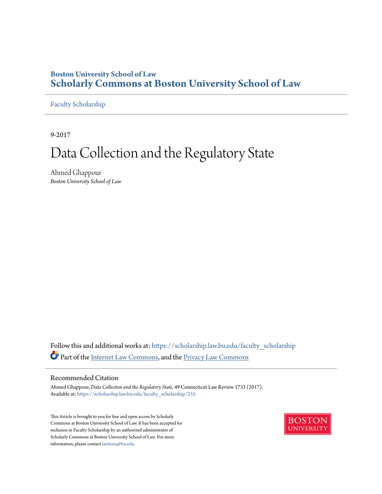## **Boston University School of Law [Scholarly Commons at Boston University School of Law](https://scholarship.law.bu.edu?utm_source=scholarship.law.bu.edu%2Ffaculty_scholarship%2F255&utm_medium=PDF&utm_campaign=PDFCoverPages)**

[Faculty Scholarship](https://scholarship.law.bu.edu/faculty_scholarship?utm_source=scholarship.law.bu.edu%2Ffaculty_scholarship%2F255&utm_medium=PDF&utm_campaign=PDFCoverPages)

9-2017

# Data Collection and the Regulatory State

Ahmed Ghappour *Boston University School of Law*

Follow this and additional works at: [https://scholarship.law.bu.edu/faculty\\_scholarship](https://scholarship.law.bu.edu/faculty_scholarship?utm_source=scholarship.law.bu.edu%2Ffaculty_scholarship%2F255&utm_medium=PDF&utm_campaign=PDFCoverPages) Part of the [Internet Law Commons,](http://network.bepress.com/hgg/discipline/892?utm_source=scholarship.law.bu.edu%2Ffaculty_scholarship%2F255&utm_medium=PDF&utm_campaign=PDFCoverPages) and the [Privacy Law Commons](http://network.bepress.com/hgg/discipline/1234?utm_source=scholarship.law.bu.edu%2Ffaculty_scholarship%2F255&utm_medium=PDF&utm_campaign=PDFCoverPages)

## Recommended Citation

Ahmed Ghappour, *Data Collection and the Regulatory State*, 49 Connecticut Law Review 1733 (2017). Available at: [https://scholarship.law.bu.edu/faculty\\_scholarship/255](https://scholarship.law.bu.edu/faculty_scholarship/255?utm_source=scholarship.law.bu.edu%2Ffaculty_scholarship%2F255&utm_medium=PDF&utm_campaign=PDFCoverPages)

This Article is brought to you for free and open access by Scholarly Commons at Boston University School of Law. It has been accepted for inclusion in Faculty Scholarship by an authorized administrator of Scholarly Commons at Boston University School of Law. For more information, please contact [lawlessa@bu.edu.](mailto:lawlessa@bu.edu)

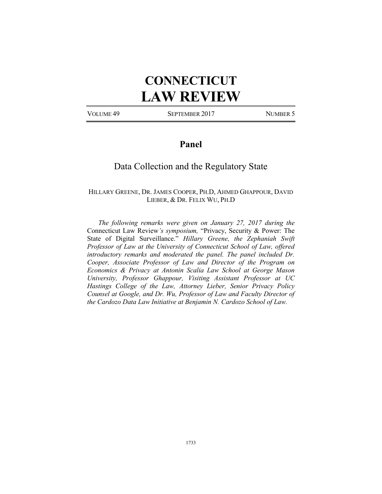## **CONNECTICUT LAW REVIEW**

VOLUME 49 SEPTEMBER 2017 NUMBER 5

## **Panel**

## Data Collection and the Regulatory State

## HILLARY GREENE, DR. JAMES COOPER, PH.D, AHMED GHAPPOUR, DAVID LIEBER, & DR. FELIX WU, PH.D

*The following remarks were given on January 27, 2017 during the*  Connecticut Law Review*'s symposium,* "Privacy, Security & Power: The State of Digital Surveillance." *Hillary Greene, the Zephaniah Swift Professor of Law at the University of Connecticut School of Law, offered introductory remarks and moderated the panel. The panel included Dr. Cooper, Associate Professor of Law and Director of the Program on Economics & Privacy at Antonin Scalia Law School at George Mason University, Professor Ghappour, Visiting Assistant Professor at UC Hastings College of the Law, Attorney Lieber, Senior Privacy Policy Counsel at Google, and Dr. Wu, Professor of Law and Faculty Director of the Cardozo Data Law Initiative at Benjamin N. Cardozo School of Law.*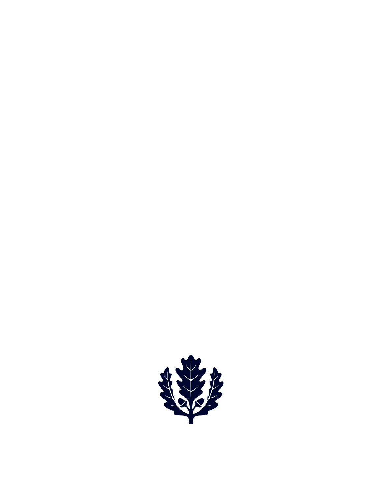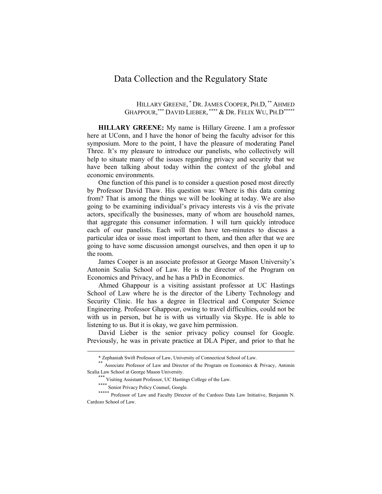## Data Collection and the Regulatory State

HILLARY GREENE, \* DR. JAMES COOPER, PH.D, \*\* AHMED GHAPPOUR, \*\*\* DAVID LIEBER, \*\*\*\* & DR. FELIX WU, PH.D\*\*\*\*\*

**HILLARY GREENE:** My name is Hillary Greene. I am a professor here at UConn, and I have the honor of being the faculty advisor for this symposium. More to the point, I have the pleasure of moderating Panel Three. It's my pleasure to introduce our panelists, who collectively will help to situate many of the issues regarding privacy and security that we have been talking about today within the context of the global and economic environments.

One function of this panel is to consider a question posed most directly by Professor David Thaw. His question was: Where is this data coming from? That is among the things we will be looking at today. We are also going to be examining individual's privacy interests vis à vis the private actors, specifically the businesses, many of whom are household names, that aggregate this consumer information. I will turn quickly introduce each of our panelists. Each will then have ten-minutes to discuss a particular idea or issue most important to them, and then after that we are going to have some discussion amongst ourselves, and then open it up to the room.

James Cooper is an associate professor at George Mason University's Antonin Scalia School of Law. He is the director of the Program on Economics and Privacy, and he has a PhD in Economics.

Ahmed Ghappour is a visiting assistant professor at UC Hastings School of Law where he is the director of the Liberty Technology and Security Clinic. He has a degree in Electrical and Computer Science Engineering. Professor Ghappour, owing to travel difficulties, could not be with us in person, but he is with us virtually via Skype. He is able to listening to us. But it is okay, we gave him permission.

David Lieber is the senior privacy policy counsel for Google. Previously, he was in private practice at DLA Piper, and prior to that he

 <sup>\*</sup> Zephaniah Swift Professor of Law, University of Connecticut School of Law.

<sup>\*\*</sup> Associate Professor of Law and Director of the Program on Economics & Privacy, Antonin Scalia Law School at George Mason University.<br>\*\*\* Visiting Assistant Professor, UC Hastings College of the Law.

<sup>\*\*\*\*</sup> Senior Privacy Policy Counsel, Google.

<sup>\*\*\*\*\*</sup> Professor of Law and Faculty Director of the Cardozo Data Law Initiative, Benjamin N. Cardozo School of Law.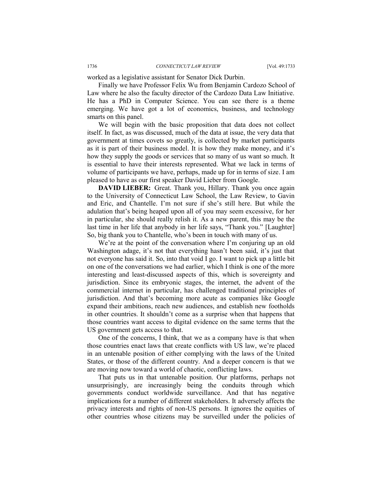worked as a legislative assistant for Senator Dick Durbin.

Finally we have Professor Felix Wu from Benjamin Cardozo School of Law where he also the faculty director of the Cardozo Data Law Initiative. He has a PhD in Computer Science. You can see there is a theme emerging. We have got a lot of economics, business, and technology smarts on this panel.

We will begin with the basic proposition that data does not collect itself. In fact, as was discussed, much of the data at issue, the very data that government at times covets so greatly, is collected by market participants as it is part of their business model. It is how they make money, and it's how they supply the goods or services that so many of us want so much. It is essential to have their interests represented. What we lack in terms of volume of participants we have, perhaps, made up for in terms of size. I am pleased to have as our first speaker David Lieber from Google.

**DAVID LIEBER:** Great. Thank you, Hillary. Thank you once again to the University of Connecticut Law School, the Law Review, to Gavin and Eric, and Chantelle. I'm not sure if she's still here. But while the adulation that's being heaped upon all of you may seem excessive, for her in particular, she should really relish it. As a new parent, this may be the last time in her life that anybody in her life says, "Thank you." [Laughter] So, big thank you to Chantelle, who's been in touch with many of us.

We're at the point of the conversation where I'm conjuring up an old Washington adage, it's not that everything hasn't been said, it's just that not everyone has said it. So, into that void I go. I want to pick up a little bit on one of the conversations we had earlier, which I think is one of the more interesting and least-discussed aspects of this, which is sovereignty and jurisdiction. Since its embryonic stages, the internet, the advent of the commercial internet in particular, has challenged traditional principles of jurisdiction. And that's becoming more acute as companies like Google expand their ambitions, reach new audiences, and establish new footholds in other countries. It shouldn't come as a surprise when that happens that those countries want access to digital evidence on the same terms that the US government gets access to that.

One of the concerns, I think, that we as a company have is that when those countries enact laws that create conflicts with US law, we're placed in an untenable position of either complying with the laws of the United States, or those of the different country. And a deeper concern is that we are moving now toward a world of chaotic, conflicting laws.

That puts us in that untenable position. Our platforms, perhaps not unsurprisingly, are increasingly being the conduits through which governments conduct worldwide surveillance. And that has negative implications for a number of different stakeholders. It adversely affects the privacy interests and rights of non-US persons. It ignores the equities of other countries whose citizens may be surveilled under the policies of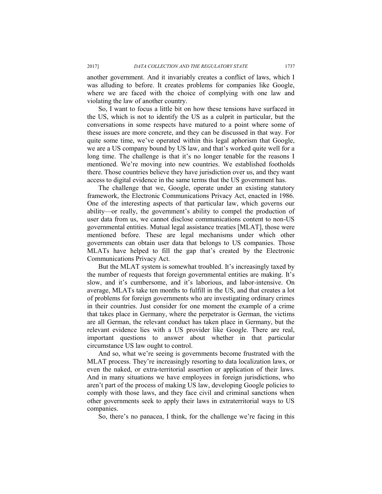another government. And it invariably creates a conflict of laws, which I was alluding to before. It creates problems for companies like Google, where we are faced with the choice of complying with one law and violating the law of another country.

So, I want to focus a little bit on how these tensions have surfaced in the US, which is not to identify the US as a culprit in particular, but the conversations in some respects have matured to a point where some of these issues are more concrete, and they can be discussed in that way. For quite some time, we've operated within this legal aphorism that Google, we are a US company bound by US law, and that's worked quite well for a long time. The challenge is that it's no longer tenable for the reasons I mentioned. We're moving into new countries. We established footholds there. Those countries believe they have jurisdiction over us, and they want access to digital evidence in the same terms that the US government has.

The challenge that we, Google, operate under an existing statutory framework, the Electronic Communications Privacy Act, enacted in 1986. One of the interesting aspects of that particular law, which governs our ability—or really, the government's ability to compel the production of user data from us, we cannot disclose communications content to non-US governmental entities. Mutual legal assistance treaties [MLAT], those were mentioned before. These are legal mechanisms under which other governments can obtain user data that belongs to US companies. Those MLATs have helped to fill the gap that's created by the Electronic Communications Privacy Act.

But the MLAT system is somewhat troubled. It's increasingly taxed by the number of requests that foreign governmental entities are making. It's slow, and it's cumbersome, and it's laborious, and labor-intensive. On average, MLATs take ten months to fulfill in the US, and that creates a lot of problems for foreign governments who are investigating ordinary crimes in their countries. Just consider for one moment the example of a crime that takes place in Germany, where the perpetrator is German, the victims are all German, the relevant conduct has taken place in Germany, but the relevant evidence lies with a US provider like Google. There are real, important questions to answer about whether in that particular circumstance US law ought to control.

And so, what we're seeing is governments become frustrated with the MLAT process. They're increasingly resorting to data localization laws, or even the naked, or extra-territorial assertion or application of their laws. And in many situations we have employees in foreign jurisdictions, who aren't part of the process of making US law, developing Google policies to comply with those laws, and they face civil and criminal sanctions when other governments seek to apply their laws in extraterritorial ways to US companies.

So, there's no panacea, I think, for the challenge we're facing in this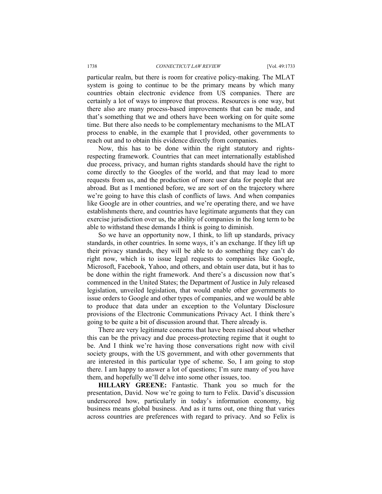#### 1738 *CONNECTICUT LAW REVIEW* [Vol. 49:1733

particular realm, but there is room for creative policy-making. The MLAT system is going to continue to be the primary means by which many countries obtain electronic evidence from US companies. There are certainly a lot of ways to improve that process. Resources is one way, but there also are many process-based improvements that can be made, and that's something that we and others have been working on for quite some time. But there also needs to be complementary mechanisms to the MLAT process to enable, in the example that I provided, other governments to reach out and to obtain this evidence directly from companies.

Now, this has to be done within the right statutory and rightsrespecting framework. Countries that can meet internationally established due process, privacy, and human rights standards should have the right to come directly to the Googles of the world, and that may lead to more requests from us, and the production of more user data for people that are abroad. But as I mentioned before, we are sort of on the trajectory where we're going to have this clash of conflicts of laws. And when companies like Google are in other countries, and we're operating there, and we have establishments there, and countries have legitimate arguments that they can exercise jurisdiction over us, the ability of companies in the long term to be able to withstand these demands I think is going to diminish.

So we have an opportunity now, I think, to lift up standards, privacy standards, in other countries. In some ways, it's an exchange. If they lift up their privacy standards, they will be able to do something they can't do right now, which is to issue legal requests to companies like Google, Microsoft, Facebook, Yahoo, and others, and obtain user data, but it has to be done within the right framework. And there's a discussion now that's commenced in the United States; the Department of Justice in July released legislation, unveiled legislation, that would enable other governments to issue orders to Google and other types of companies, and we would be able to produce that data under an exception to the Voluntary Disclosure provisions of the Electronic Communications Privacy Act. I think there's going to be quite a bit of discussion around that. There already is.

There are very legitimate concerns that have been raised about whether this can be the privacy and due process-protecting regime that it ought to be. And I think we're having those conversations right now with civil society groups, with the US government, and with other governments that are interested in this particular type of scheme. So, I am going to stop there. I am happy to answer a lot of questions; I'm sure many of you have them, and hopefully we'll delve into some other issues, too.

**HILLARY GREENE:** Fantastic. Thank you so much for the presentation, David. Now we're going to turn to Felix. David's discussion underscored how, particularly in today's information economy, big business means global business. And as it turns out, one thing that varies across countries are preferences with regard to privacy. And so Felix is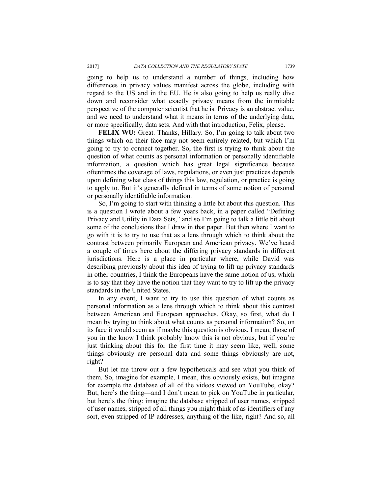going to help us to understand a number of things, including how differences in privacy values manifest across the globe, including with regard to the US and in the EU. He is also going to help us really dive down and reconsider what exactly privacy means from the inimitable perspective of the computer scientist that he is. Privacy is an abstract value, and we need to understand what it means in terms of the underlying data, or more specifically, data sets. And with that introduction, Felix, please.

**FELIX WU:** Great. Thanks, Hillary. So, I'm going to talk about two things which on their face may not seem entirely related, but which I'm going to try to connect together. So, the first is trying to think about the question of what counts as personal information or personally identifiable information, a question which has great legal significance because oftentimes the coverage of laws, regulations, or even just practices depends upon defining what class of things this law, regulation, or practice is going to apply to. But it's generally defined in terms of some notion of personal or personally identifiable information.

So, I'm going to start with thinking a little bit about this question. This is a question I wrote about a few years back, in a paper called "Defining Privacy and Utility in Data Sets," and so I'm going to talk a little bit about some of the conclusions that I draw in that paper. But then where I want to go with it is to try to use that as a lens through which to think about the contrast between primarily European and American privacy. We've heard a couple of times here about the differing privacy standards in different jurisdictions. Here is a place in particular where, while David was describing previously about this idea of trying to lift up privacy standards in other countries, I think the Europeans have the same notion of us, which is to say that they have the notion that they want to try to lift up the privacy standards in the United States.

In any event, I want to try to use this question of what counts as personal information as a lens through which to think about this contrast between American and European approaches. Okay, so first, what do I mean by trying to think about what counts as personal information? So, on its face it would seem as if maybe this question is obvious. I mean, those of you in the know I think probably know this is not obvious, but if you're just thinking about this for the first time it may seem like, well, some things obviously are personal data and some things obviously are not, right?

But let me throw out a few hypotheticals and see what you think of them. So, imagine for example, I mean, this obviously exists, but imagine for example the database of all of the videos viewed on YouTube, okay? But, here's the thing—and I don't mean to pick on YouTube in particular, but here's the thing: imagine the database stripped of user names, stripped of user names, stripped of all things you might think of as identifiers of any sort, even stripped of IP addresses, anything of the like, right? And so, all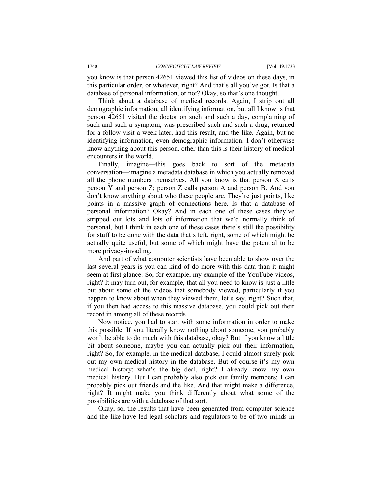you know is that person 42651 viewed this list of videos on these days, in this particular order, or whatever, right? And that's all you've got. Is that a database of personal information, or not? Okay, so that's one thought.

Think about a database of medical records. Again, I strip out all demographic information, all identifying information, but all I know is that person 42651 visited the doctor on such and such a day, complaining of such and such a symptom, was prescribed such and such a drug, returned for a follow visit a week later, had this result, and the like. Again, but no identifying information, even demographic information. I don't otherwise know anything about this person, other than this is their history of medical encounters in the world.

Finally, imagine—this goes back to sort of the metadata conversation—imagine a metadata database in which you actually removed all the phone numbers themselves. All you know is that person X calls person Y and person Z; person Z calls person A and person B. And you don't know anything about who these people are. They're just points, like points in a massive graph of connections here. Is that a database of personal information? Okay? And in each one of these cases they've stripped out lots and lots of information that we'd normally think of personal, but I think in each one of these cases there's still the possibility for stuff to be done with the data that's left, right, some of which might be actually quite useful, but some of which might have the potential to be more privacy-invading.

And part of what computer scientists have been able to show over the last several years is you can kind of do more with this data than it might seem at first glance. So, for example, my example of the YouTube videos, right? It may turn out, for example, that all you need to know is just a little but about some of the videos that somebody viewed, particularly if you happen to know about when they viewed them, let's say, right? Such that, if you then had access to this massive database, you could pick out their record in among all of these records.

Now notice, you had to start with some information in order to make this possible. If you literally know nothing about someone, you probably won't be able to do much with this database, okay? But if you know a little bit about someone, maybe you can actually pick out their information, right? So, for example, in the medical database, I could almost surely pick out my own medical history in the database. But of course it's my own medical history; what's the big deal, right? I already know my own medical history. But I can probably also pick out family members; I can probably pick out friends and the like. And that might make a difference, right? It might make you think differently about what some of the possibilities are with a database of that sort.

Okay, so, the results that have been generated from computer science and the like have led legal scholars and regulators to be of two minds in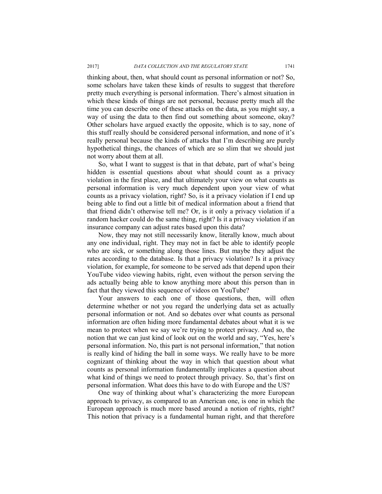#### 2017] *DATA COLLECTION AND THE REGULATORY STATE* 1741

thinking about, then, what should count as personal information or not? So, some scholars have taken these kinds of results to suggest that therefore pretty much everything is personal information. There's almost situation in which these kinds of things are not personal, because pretty much all the time you can describe one of these attacks on the data, as you might say, a way of using the data to then find out something about someone, okay? Other scholars have argued exactly the opposite, which is to say, none of this stuff really should be considered personal information, and none of it's really personal because the kinds of attacks that I'm describing are purely hypothetical things, the chances of which are so slim that we should just not worry about them at all.

So, what I want to suggest is that in that debate, part of what's being hidden is essential questions about what should count as a privacy violation in the first place, and that ultimately your view on what counts as personal information is very much dependent upon your view of what counts as a privacy violation, right? So, is it a privacy violation if I end up being able to find out a little bit of medical information about a friend that that friend didn't otherwise tell me? Or, is it only a privacy violation if a random hacker could do the same thing, right? Is it a privacy violation if an insurance company can adjust rates based upon this data?

Now, they may not still necessarily know, literally know, much about any one individual, right. They may not in fact be able to identify people who are sick, or something along those lines. But maybe they adjust the rates according to the database. Is that a privacy violation? Is it a privacy violation, for example, for someone to be served ads that depend upon their YouTube video viewing habits, right, even without the person serving the ads actually being able to know anything more about this person than in fact that they viewed this sequence of videos on YouTube?

Your answers to each one of those questions, then, will often determine whether or not you regard the underlying data set as actually personal information or not. And so debates over what counts as personal information are often hiding more fundamental debates about what it is we mean to protect when we say we're trying to protect privacy. And so, the notion that we can just kind of look out on the world and say, "Yes, here's personal information. No, this part is not personal information," that notion is really kind of hiding the ball in some ways. We really have to be more cognizant of thinking about the way in which that question about what counts as personal information fundamentally implicates a question about what kind of things we need to protect through privacy. So, that's first on personal information. What does this have to do with Europe and the US?

One way of thinking about what's characterizing the more European approach to privacy, as compared to an American one, is one in which the European approach is much more based around a notion of rights, right? This notion that privacy is a fundamental human right, and that therefore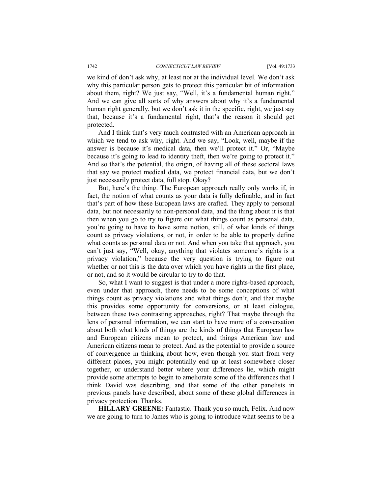#### 1742 *CONNECTICUT LAW REVIEW* [Vol. 49:1733

we kind of don't ask why, at least not at the individual level. We don't ask why this particular person gets to protect this particular bit of information about them, right? We just say, "Well, it's a fundamental human right." And we can give all sorts of why answers about why it's a fundamental human right generally, but we don't ask it in the specific, right, we just say that, because it's a fundamental right, that's the reason it should get protected.

And I think that's very much contrasted with an American approach in which we tend to ask why, right. And we say, "Look, well, maybe if the answer is because it's medical data, then we'll protect it." Or, "Maybe because it's going to lead to identity theft, then we're going to protect it." And so that's the potential, the origin, of having all of these sectoral laws that say we protect medical data, we protect financial data, but we don't just necessarily protect data, full stop. Okay?

But, here's the thing. The European approach really only works if, in fact, the notion of what counts as your data is fully definable, and in fact that's part of how these European laws are crafted. They apply to personal data, but not necessarily to non-personal data, and the thing about it is that then when you go to try to figure out what things count as personal data, you're going to have to have some notion, still, of what kinds of things count as privacy violations, or not, in order to be able to properly define what counts as personal data or not. And when you take that approach, you can't just say, "Well, okay, anything that violates someone's rights is a privacy violation," because the very question is trying to figure out whether or not this is the data over which you have rights in the first place, or not, and so it would be circular to try to do that.

So, what I want to suggest is that under a more rights-based approach, even under that approach, there needs to be some conceptions of what things count as privacy violations and what things don't, and that maybe this provides some opportunity for conversions, or at least dialogue, between these two contrasting approaches, right? That maybe through the lens of personal information, we can start to have more of a conversation about both what kinds of things are the kinds of things that European law and European citizens mean to protect, and things American law and American citizens mean to protect. And as the potential to provide a source of convergence in thinking about how, even though you start from very different places, you might potentially end up at least somewhere closer together, or understand better where your differences lie, which might provide some attempts to begin to ameliorate some of the differences that I think David was describing, and that some of the other panelists in previous panels have described, about some of these global differences in privacy protection. Thanks.

**HILLARY GREENE:** Fantastic. Thank you so much, Felix. And now we are going to turn to James who is going to introduce what seems to be a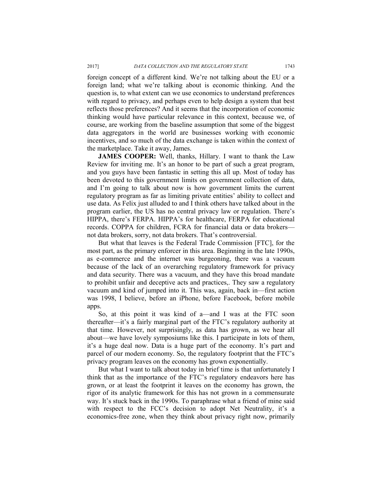foreign concept of a different kind. We're not talking about the EU or a foreign land; what we're talking about is economic thinking. And the question is, to what extent can we use economics to understand preferences with regard to privacy, and perhaps even to help design a system that best reflects those preferences? And it seems that the incorporation of economic thinking would have particular relevance in this context, because we, of course, are working from the baseline assumption that some of the biggest data aggregators in the world are businesses working with economic incentives, and so much of the data exchange is taken within the context of the marketplace. Take it away, James.

**JAMES COOPER:** Well, thanks, Hillary. I want to thank the Law Review for inviting me. It's an honor to be part of such a great program, and you guys have been fantastic in setting this all up. Most of today has been devoted to this government limits on government collection of data, and I'm going to talk about now is how government limits the current regulatory program as far as limiting private entities' ability to collect and use data. As Felix just alluded to and I think others have talked about in the program earlier, the US has no central privacy law or regulation. There's HIPPA, there's FERPA. HIPPA's for healthcare, FERPA for educational records. COPPA for children, FCRA for financial data or data brokers not data brokers, sorry, not data brokers. That's controversial.

But what that leaves is the Federal Trade Commission [FTC], for the most part, as the primary enforcer in this area. Beginning in the late 1990s, as e-commerce and the internet was burgeoning, there was a vacuum because of the lack of an overarching regulatory framework for privacy and data security. There was a vacuum, and they have this broad mandate to prohibit unfair and deceptive acts and practices,. They saw a regulatory vacuum and kind of jumped into it. This was, again, back in—first action was 1998, I believe, before an iPhone, before Facebook, before mobile apps.

So, at this point it was kind of a—and I was at the FTC soon thereafter—it's a fairly marginal part of the FTC's regulatory authority at that time. However, not surprisingly, as data has grown, as we hear all about—we have lovely symposiums like this. I participate in lots of them, it's a huge deal now. Data is a huge part of the economy. It's part and parcel of our modern economy. So, the regulatory footprint that the FTC's privacy program leaves on the economy has grown exponentially.

But what I want to talk about today in brief time is that unfortunately I think that as the importance of the FTC's regulatory endeavors here has grown, or at least the footprint it leaves on the economy has grown, the rigor of its analytic framework for this has not grown in a commensurate way. It's stuck back in the 1990s. To paraphrase what a friend of mine said with respect to the FCC's decision to adopt Net Neutrality, it's a economics-free zone, when they think about privacy right now, primarily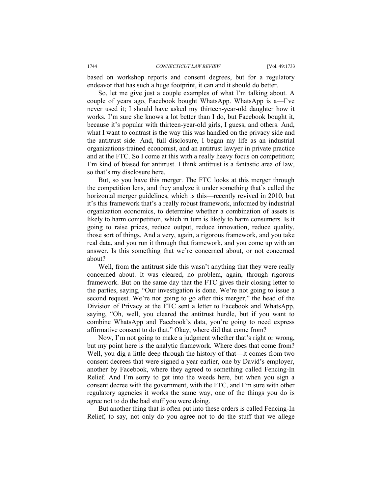based on workshop reports and consent degrees, but for a regulatory endeavor that has such a huge footprint, it can and it should do better.

So, let me give just a couple examples of what I'm talking about. A couple of years ago, Facebook bought WhatsApp. WhatsApp is a—I've never used it; I should have asked my thirteen-year-old daughter how it works. I'm sure she knows a lot better than I do, but Facebook bought it, because it's popular with thirteen-year-old girls, I guess, and others. And, what I want to contrast is the way this was handled on the privacy side and the antitrust side. And, full disclosure, I began my life as an industrial organizations-trained economist, and an antitrust lawyer in private practice and at the FTC. So I come at this with a really heavy focus on competition; I'm kind of biased for antitrust. I think antitrust is a fantastic area of law, so that's my disclosure here.

But, so you have this merger. The FTC looks at this merger through the competition lens, and they analyze it under something that's called the horizontal merger guidelines, which is this—recently revived in 2010, but it's this framework that's a really robust framework, informed by industrial organization economics, to determine whether a combination of assets is likely to harm competition, which in turn is likely to harm consumers. Is it going to raise prices, reduce output, reduce innovation, reduce quality, those sort of things. And a very, again, a rigorous framework, and you take real data, and you run it through that framework, and you come up with an answer. Is this something that we're concerned about, or not concerned about?

Well, from the antitrust side this wasn't anything that they were really concerned about. It was cleared, no problem, again, through rigorous framework. But on the same day that the FTC gives their closing letter to the parties, saying, "Our investigation is done. We're not going to issue a second request. We're not going to go after this merger," the head of the Division of Privacy at the FTC sent a letter to Facebook and WhatsApp, saying, "Oh, well, you cleared the antitrust hurdle, but if you want to combine WhatsApp and Facebook's data, you're going to need express affirmative consent to do that." Okay, where did that come from?

Now, I'm not going to make a judgment whether that's right or wrong, but my point here is the analytic framework. Where does that come from? Well, you dig a little deep through the history of that—it comes from two consent decrees that were signed a year earlier, one by David's employer, another by Facebook, where they agreed to something called Fencing-In Relief. And I'm sorry to get into the weeds here, but when you sign a consent decree with the government, with the FTC, and I'm sure with other regulatory agencies it works the same way, one of the things you do is agree not to do the bad stuff you were doing.

But another thing that is often put into these orders is called Fencing-In Relief, to say, not only do you agree not to do the stuff that we allege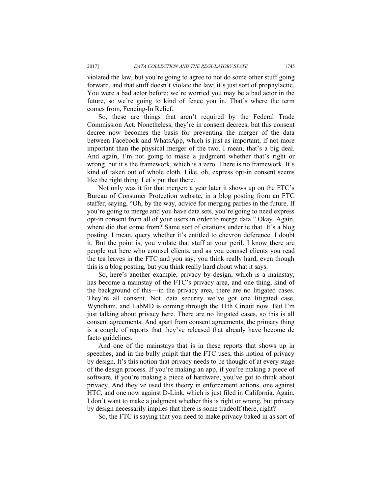violated the law, but you're going to agree to not do some other stuff going forward, and that stuff doesn't violate the law; it's just sort of prophylactic. You were a bad actor before; we're worried you may be a bad actor in the future, so we're going to kind of fence you in. That's where the term comes from, Fencing-In Relief.

So, these are things that aren't required by the Federal Trade Commission Act. Nonetheless, they're in consent decrees, but this consent decree now becomes the basis for preventing the merger of the data between Facebook and WhatsApp, which is just as important, if not more important than the physical merger of the two. I mean, that's a big deal. And again, I'm not going to make a judgment whether that's right or wrong, but it's the framework, which is a zero. There is no framework. It's kind of taken out of whole cloth. Like, oh, express opt-in consent seems like the right thing. Let's put that there.

Not only was it for that merger; a year later it shows up on the FTC's Bureau of Consumer Protection website, in a blog posting from an FTC staffer, saying, "Oh, by the way, advice for merging parties in the future. If you're going to merge and you have data sets, you're going to need express opt-in consent from all of your users in order to merge data." Okay. Again, where did that come from? Same sort of citations underlie that. It's a blog posting. I mean, query whether it's entitled to chevron deference. I doubt it. But the point is, you violate that stuff at your peril. I know there are people out here who counsel clients, and as you counsel clients you read the tea leaves in the FTC and you say, you think really hard, even though this is a blog posting, but you think really hard about what it says.

So, here's another example, privacy by design, which is a mainstay, has become a mainstay of the FTC's privacy area, and one thing, kind of the background of this—in the privacy area, there are no litigated cases. They're all consent. Not, data security we've got one litigated case, Wyndham, and LabMD is coming through the 11th Circuit now. But I'm just talking about privacy here. There are no litigated cases, so this is all consent agreements. And apart from consent agreements, the primary thing is a couple of reports that they've released that already have become de facto guidelines.

And one of the mainstays that is in these reports that shows up in speeches, and in the bully pulpit that the FTC uses, this notion of privacy by design. It's this notion that privacy needs to be thought of at every stage of the design process. If you're making an app, if you're making a piece of software, if you're making a piece of hardware, you've got to think about privacy. And they've used this theory in enforcement actions, one against HTC, and one now against D-Link, which is just filed in California. Again, I don't want to make a judgment whether this is right or wrong, but privacy by design necessarily implies that there is some tradeoff there, right?

So, the FTC is saying that you need to make privacy baked in as sort of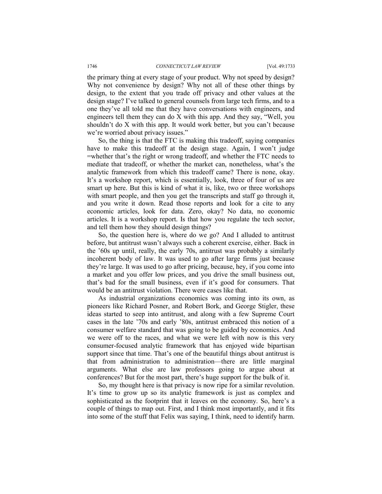#### 1746 *CONNECTICUT LAW REVIEW* [Vol. 49:1733

the primary thing at every stage of your product. Why not speed by design? Why not convenience by design? Why not all of these other things by design, to the extent that you trade off privacy and other values at the design stage? I've talked to general counsels from large tech firms, and to a one they've all told me that they have conversations with engineers, and engineers tell them they can do X with this app. And they say, "Well, you shouldn't do X with this app. It would work better, but you can't because we're worried about privacy issues."

So, the thing is that the FTC is making this tradeoff, saying companies have to make this tradeoff at the design stage. Again, I won't judge =whether that's the right or wrong tradeoff, and whether the FTC needs to mediate that tradeoff, or whether the market can, nonetheless, what's the analytic framework from which this tradeoff came? There is none, okay. It's a workshop report, which is essentially, look, three of four of us are smart up here. But this is kind of what it is, like, two or three workshops with smart people, and then you get the transcripts and staff go through it, and you write it down. Read those reports and look for a cite to any economic articles, look for data. Zero, okay? No data, no economic articles. It is a workshop report. Is that how you regulate the tech sector, and tell them how they should design things?

So, the question here is, where do we go? And I alluded to antitrust before, but antitrust wasn't always such a coherent exercise, either. Back in the '60s up until, really, the early 70s, antitrust was probably a similarly incoherent body of law. It was used to go after large firms just because they're large. It was used to go after pricing, because, hey, if you come into a market and you offer low prices, and you drive the small business out, that's bad for the small business, even if it's good for consumers. That would be an antitrust violation. There were cases like that.

As industrial organizations economics was coming into its own, as pioneers like Richard Posner, and Robert Bork, and George Stigler, these ideas started to seep into antitrust, and along with a few Supreme Court cases in the late '70s and early '80s, antitrust embraced this notion of a consumer welfare standard that was going to be guided by economics. And we were off to the races, and what we were left with now is this very consumer-focused analytic framework that has enjoyed wide bipartisan support since that time. That's one of the beautiful things about antitrust is that from administration to administration—there are little marginal arguments. What else are law professors going to argue about at conferences? But for the most part, there's huge support for the bulk of it.

So, my thought here is that privacy is now ripe for a similar revolution. It's time to grow up so its analytic framework is just as complex and sophisticated as the footprint that it leaves on the economy. So, here's a couple of things to map out. First, and I think most importantly, and it fits into some of the stuff that Felix was saying, I think, need to identify harm.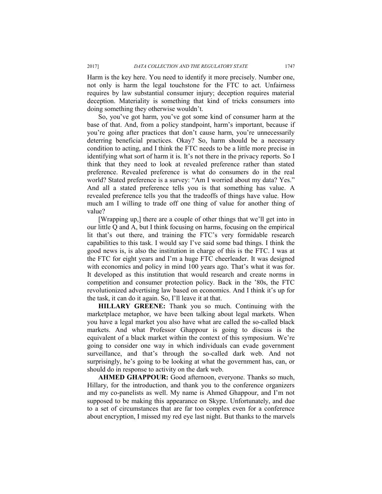Harm is the key here. You need to identify it more precisely. Number one, not only is harm the legal touchstone for the FTC to act. Unfairness requires by law substantial consumer injury; deception requires material deception. Materiality is something that kind of tricks consumers into doing something they otherwise wouldn't.

So, you've got harm, you've got some kind of consumer harm at the base of that. And, from a policy standpoint, harm's important, because if you're going after practices that don't cause harm, you're unnecessarily deterring beneficial practices. Okay? So, harm should be a necessary condition to acting, and I think the FTC needs to be a little more precise in identifying what sort of harm it is. It's not there in the privacy reports. So I think that they need to look at revealed preference rather than stated preference. Revealed preference is what do consumers do in the real world? Stated preference is a survey: "Am I worried about my data? Yes." And all a stated preference tells you is that something has value. A revealed preference tells you that the tradeoffs of things have value. How much am I willing to trade off one thing of value for another thing of value?

[Wrapping up,] there are a couple of other things that we'll get into in our little Q and A, but I think focusing on harms, focusing on the empirical lit that's out there, and training the FTC's very formidable research capabilities to this task. I would say I've said some bad things. I think the good news is, is also the institution in charge of this is the FTC. I was at the FTC for eight years and I'm a huge FTC cheerleader. It was designed with economics and policy in mind 100 years ago. That's what it was for. It developed as this institution that would research and create norms in competition and consumer protection policy. Back in the '80s, the FTC revolutionized advertising law based on economics. And I think it's up for the task, it can do it again. So, I'll leave it at that.

**HILLARY GREENE:** Thank you so much. Continuing with the marketplace metaphor, we have been talking about legal markets. When you have a legal market you also have what are called the so-called black markets. And what Professor Ghappour is going to discuss is the equivalent of a black market within the context of this symposium. We're going to consider one way in which individuals can evade government surveillance, and that's through the so-called dark web. And not surprisingly, he's going to be looking at what the government has, can, or should do in response to activity on the dark web.

**AHMED GHAPPOUR:** Good afternoon, everyone. Thanks so much, Hillary, for the introduction, and thank you to the conference organizers and my co-panelists as well. My name is Ahmed Ghappour, and I'm not supposed to be making this appearance on Skype. Unfortunately, and due to a set of circumstances that are far too complex even for a conference about encryption, I missed my red eye last night. But thanks to the marvels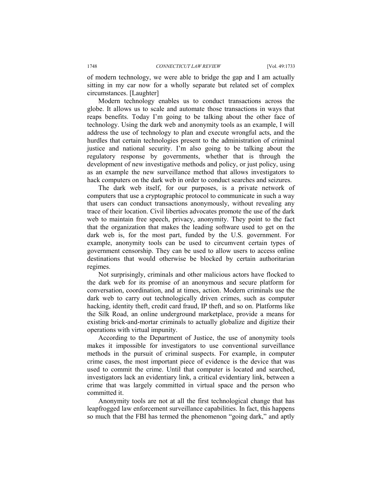of modern technology, we were able to bridge the gap and I am actually sitting in my car now for a wholly separate but related set of complex circumstances. [Laughter]

Modern technology enables us to conduct transactions across the globe. It allows us to scale and automate those transactions in ways that reaps benefits. Today I'm going to be talking about the other face of technology. Using the dark web and anonymity tools as an example, I will address the use of technology to plan and execute wrongful acts, and the hurdles that certain technologies present to the administration of criminal justice and national security. I'm also going to be talking about the regulatory response by governments, whether that is through the development of new investigative methods and policy, or just policy, using as an example the new surveillance method that allows investigators to hack computers on the dark web in order to conduct searches and seizures.

The dark web itself, for our purposes, is a private network of computers that use a cryptographic protocol to communicate in such a way that users can conduct transactions anonymously, without revealing any trace of their location. Civil liberties advocates promote the use of the dark web to maintain free speech, privacy, anonymity. They point to the fact that the organization that makes the leading software used to get on the dark web is, for the most part, funded by the U.S. government. For example, anonymity tools can be used to circumvent certain types of government censorship. They can be used to allow users to access online destinations that would otherwise be blocked by certain authoritarian regimes.

Not surprisingly, criminals and other malicious actors have flocked to the dark web for its promise of an anonymous and secure platform for conversation, coordination, and at times, action. Modern criminals use the dark web to carry out technologically driven crimes, such as computer hacking, identity theft, credit card fraud, IP theft, and so on. Platforms like the Silk Road, an online underground marketplace, provide a means for existing brick-and-mortar criminals to actually globalize and digitize their operations with virtual impunity.

According to the Department of Justice, the use of anonymity tools makes it impossible for investigators to use conventional surveillance methods in the pursuit of criminal suspects. For example, in computer crime cases, the most important piece of evidence is the device that was used to commit the crime. Until that computer is located and searched, investigators lack an evidentiary link, a critical evidentiary link, between a crime that was largely committed in virtual space and the person who committed it.

Anonymity tools are not at all the first technological change that has leapfrogged law enforcement surveillance capabilities. In fact, this happens so much that the FBI has termed the phenomenon "going dark," and aptly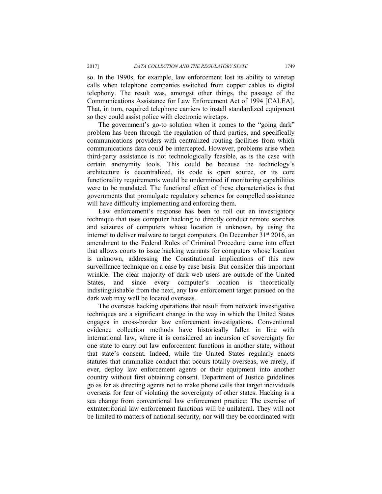so. In the 1990s, for example, law enforcement lost its ability to wiretap calls when telephone companies switched from copper cables to digital telephony. The result was, amongst other things, the passage of the Communications Assistance for Law Enforcement Act of 1994 [CALEA]. That, in turn, required telephone carriers to install standardized equipment so they could assist police with electronic wiretaps.

The government's go-to solution when it comes to the "going dark" problem has been through the regulation of third parties, and specifically communications providers with centralized routing facilities from which communications data could be intercepted. However, problems arise when third-party assistance is not technologically feasible, as is the case with certain anonymity tools. This could be because the technology's architecture is decentralized, its code is open source, or its core functionality requirements would be undermined if monitoring capabilities were to be mandated. The functional effect of these characteristics is that governments that promulgate regulatory schemes for compelled assistance will have difficulty implementing and enforcing them.

Law enforcement's response has been to roll out an investigatory technique that uses computer hacking to directly conduct remote searches and seizures of computers whose location is unknown, by using the internet to deliver malware to target computers. On December  $31<sup>st</sup> 2016$ , an amendment to the Federal Rules of Criminal Procedure came into effect that allows courts to issue hacking warrants for computers whose location is unknown, addressing the Constitutional implications of this new surveillance technique on a case by case basis. But consider this important wrinkle. The clear majority of dark web users are outside of the United States, and since every computer's location is theoretically indistinguishable from the next, any law enforcement target pursued on the dark web may well be located overseas.

The overseas hacking operations that result from network investigative techniques are a significant change in the way in which the United States engages in cross-border law enforcement investigations. Conventional evidence collection methods have historically fallen in line with international law, where it is considered an incursion of sovereignty for one state to carry out law enforcement functions in another state, without that state's consent. Indeed, while the United States regularly enacts statutes that criminalize conduct that occurs totally overseas, we rarely, if ever, deploy law enforcement agents or their equipment into another country without first obtaining consent. Department of Justice guidelines go as far as directing agents not to make phone calls that target individuals overseas for fear of violating the sovereignty of other states. Hacking is a sea change from conventional law enforcement practice: The exercise of extraterritorial law enforcement functions will be unilateral. They will not be limited to matters of national security, nor will they be coordinated with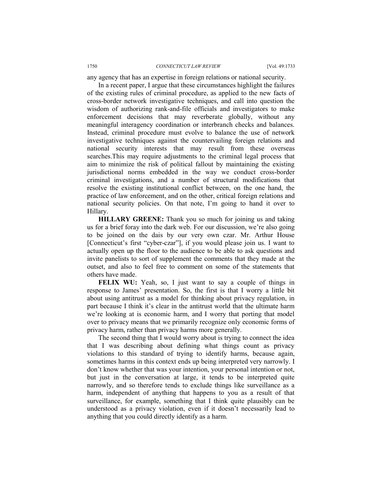### 1750 *CONNECTICUT LAW REVIEW* [Vol. 49:1733

any agency that has an expertise in foreign relations or national security.

In a recent paper, I argue that these circumstances highlight the failures of the existing rules of criminal procedure, as applied to the new facts of cross-border network investigative techniques, and call into question the wisdom of authorizing rank-and-file officials and investigators to make enforcement decisions that may reverberate globally, without any meaningful interagency coordination or interbranch checks and balances. Instead, criminal procedure must evolve to balance the use of network investigative techniques against the countervailing foreign relations and national security interests that may result from these overseas searches.This may require adjustments to the criminal legal process that aim to minimize the risk of political fallout by maintaining the existing jurisdictional norms embedded in the way we conduct cross-border criminal investigations, and a number of structural modifications that resolve the existing institutional conflict between, on the one hand, the practice of law enforcement, and on the other, critical foreign relations and national security policies. On that note, I'm going to hand it over to Hillary.

**HILLARY GREENE:** Thank you so much for joining us and taking us for a brief foray into the dark web. For our discussion, we're also going to be joined on the dais by our very own czar. Mr. Arthur House [Connecticut's first "cyber-czar"], if you would please join us. I want to actually open up the floor to the audience to be able to ask questions and invite panelists to sort of supplement the comments that they made at the outset, and also to feel free to comment on some of the statements that others have made.

**FELIX WU:** Yeah, so, I just want to say a couple of things in response to James' presentation. So, the first is that I worry a little bit about using antitrust as a model for thinking about privacy regulation, in part because I think it's clear in the antitrust world that the ultimate harm we're looking at is economic harm, and I worry that porting that model over to privacy means that we primarily recognize only economic forms of privacy harm, rather than privacy harms more generally.

The second thing that I would worry about is trying to connect the idea that I was describing about defining what things count as privacy violations to this standard of trying to identify harms, because again, sometimes harms in this context ends up being interpreted very narrowly. I don't know whether that was your intention, your personal intention or not, but just in the conversation at large, it tends to be interpreted quite narrowly, and so therefore tends to exclude things like surveillance as a harm, independent of anything that happens to you as a result of that surveillance, for example, something that I think quite plausibly can be understood as a privacy violation, even if it doesn't necessarily lead to anything that you could directly identify as a harm.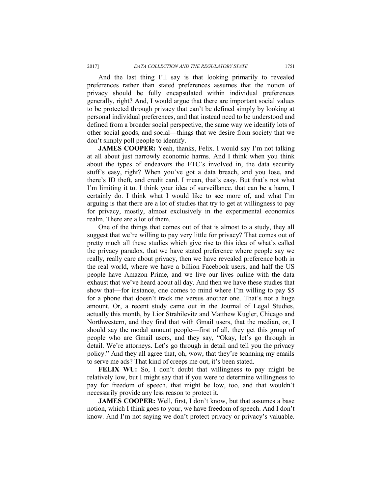And the last thing I'll say is that looking primarily to revealed preferences rather than stated preferences assumes that the notion of privacy should be fully encapsulated within individual preferences generally, right? And, I would argue that there are important social values to be protected through privacy that can't be defined simply by looking at personal individual preferences, and that instead need to be understood and defined from a broader social perspective, the same way we identify lots of other social goods, and social—things that we desire from society that we don't simply poll people to identify.

**JAMES COOPER:** Yeah, thanks, Felix. I would say I'm not talking at all about just narrowly economic harms. And I think when you think about the types of endeavors the FTC's involved in, the data security stuff's easy, right? When you've got a data breach, and you lose, and there's ID theft, and credit card. I mean, that's easy. But that's not what I'm limiting it to. I think your idea of surveillance, that can be a harm, I certainly do. I think what I would like to see more of, and what I'm arguing is that there are a lot of studies that try to get at willingness to pay for privacy, mostly, almost exclusively in the experimental economics realm. There are a lot of them.

One of the things that comes out of that is almost to a study, they all suggest that we're willing to pay very little for privacy? That comes out of pretty much all these studies which give rise to this idea of what's called the privacy paradox, that we have stated preference where people say we really, really care about privacy, then we have revealed preference both in the real world, where we have a billion Facebook users, and half the US people have Amazon Prime, and we live our lives online with the data exhaust that we've heard about all day. And then we have these studies that show that—for instance, one comes to mind where I'm willing to pay \$5 for a phone that doesn't track me versus another one. That's not a huge amount. Or, a recent study came out in the Journal of Legal Studies, actually this month, by Lior Strahilevitz and Matthew Kugler, Chicago and Northwestern, and they find that with Gmail users, that the median, or, I should say the modal amount people—first of all, they get this group of people who are Gmail users, and they say, "Okay, let's go through in detail. We're attorneys. Let's go through in detail and tell you the privacy policy." And they all agree that, oh, wow, that they're scanning my emails to serve me ads? That kind of creeps me out, it's been stated.

**FELIX WU:** So, I don't doubt that willingness to pay might be relatively low, but I might say that if you were to determine willingness to pay for freedom of speech, that might be low, too, and that wouldn't necessarily provide any less reason to protect it.

**JAMES COOPER:** Well, first, I don't know, but that assumes a base notion, which I think goes to your, we have freedom of speech. And I don't know. And I'm not saying we don't protect privacy or privacy's valuable.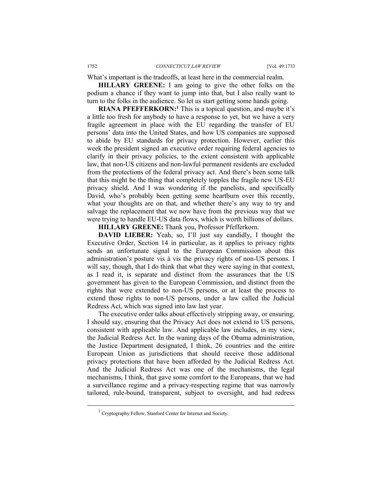What's important is the tradeoffs, at least here in the commercial realm.

**HILLARY GREENE:** I am going to give the other folks on the podium a chance if they want to jump into that, but I also really want to turn to the folks in the audience. So let us start getting some hands going.

**RIANA PFEFFERKORN:1** This is a topical question, and maybe it's a little too fresh for anybody to have a response to yet, but we have a very fragile agreement in place with the EU regarding the transfer of EU persons' data into the United States, and how US companies are supposed to abide by EU standards for privacy protection. However, earlier this week the president signed an executive order requiring federal agencies to clarify in their privacy policies, to the extent consistent with applicable law, that non-US citizens and non-lawful permanent residents are excluded from the protections of the federal privacy act. And there's been some talk that this might be the thing that completely topples the fragile new US-EU privacy shield. And I was wondering if the panelists, and specifically David, who's probably been getting some heartburn over this recently, what your thoughts are on that, and whether there's any way to try and salvage the replacement that we now have from the previous way that we were trying to handle EU-US data flows, which is worth billions of dollars.

**HILLARY GREENE:** Thank you, Professor Pfefferkorn.

**DAVID LIEBER:** Yeah, so, I'll just say candidly, I thought the Executive Order, Section 14 in particular, as it applies to privacy rights sends an unfortunate signal to the European Commission about this administration's posture vis à vis the privacy rights of non-US persons. I will say, though, that I do think that what they were saying in that context, as I read it, is separate and distinct from the assurances that the US government has given to the European Commission, and distinct from the rights that were extended to non-US persons, or at least the process to extend those rights to non-US persons, under a law called the Judicial Redress Act, which was signed into law last year.

The executive order talks about effectively stripping away, or ensuring, I should say, ensuring that the Privacy Act does not extend to US persons, consistent with applicable law. And applicable law includes, in my view, the Judicial Redress Act. In the waning days of the Obama administration, the Justice Department designated, I think, 26 countries and the entire European Union as jurisdictions that should receive those additional privacy protections that have been afforded by the Judicial Redress Act. And the Judicial Redress Act was one of the mechanisms, the legal mechanisms, I think, that gave some comfort to the Europeans, that we had a surveillance regime and a privacy-respecting regime that was narrowly tailored, rule-bound, transparent, subject to oversight, and had redress

 <sup>1</sup> <sup>1</sup> Cryptography Fellow, Stanford Center for Internet and Society.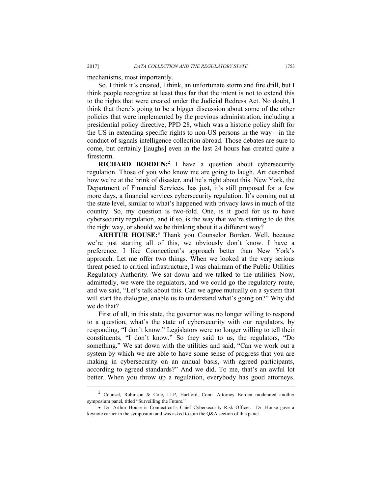mechanisms, most importantly.

So, I think it's created, I think, an unfortunate storm and fire drill, but I think people recognize at least thus far that the intent is not to extend this to the rights that were created under the Judicial Redress Act. No doubt, I think that there's going to be a bigger discussion about some of the other policies that were implemented by the previous administration, including a presidential policy directive, PPD 28, which was a historic policy shift for the US in extending specific rights to non-US persons in the way—in the conduct of signals intelligence collection abroad. Those debates are sure to come, but certainly [laughs] even in the last 24 hours has created quite a firestorm.

**RICHARD BORDEN:2** I have a question about cybersecurity regulation. Those of you who know me are going to laugh. Art described how we're at the brink of disaster, and he's right about this. New York, the Department of Financial Services, has just, it's still proposed for a few more days, a financial services cybersecurity regulation. It's coming out at the state level, similar to what's happened with privacy laws in much of the country. So, my question is two-fold. One, is it good for us to have cybersecurity regulation, and if so, is the way that we're starting to do this the right way, or should we be thinking about it a different way?

**ARHTUR HOUSE:3** Thank you Counselor Borden. Well, because we're just starting all of this, we obviously don't know. I have a preference. I like Connecticut's approach better than New York's approach. Let me offer two things. When we looked at the very serious threat posed to critical infrastructure, I was chairman of the Public Utilities Regulatory Authority. We sat down and we talked to the utilities. Now, admittedly, we were the regulators, and we could go the regulatory route, and we said, "Let's talk about this. Can we agree mutually on a system that will start the dialogue, enable us to understand what's going on?" Why did we do that?

First of all, in this state, the governor was no longer willing to respond to a question, what's the state of cybersecurity with our regulators, by responding, "I don't know." Legislators were no longer willing to tell their constituents, "I don't know." So they said to us, the regulators, "Do something." We sat down with the utilities and said, "Can we work out a system by which we are able to have some sense of progress that you are making in cybersecurity on an annual basis, with agreed participants, according to agreed standards?" And we did. To me, that's an awful lot better. When you throw up a regulation, everybody has good attorneys.

 <sup>2</sup> <sup>2</sup> Counsel, Robinson & Cole, LLP, Hartford, Conn. Attorney Borden moderated another symposium panel, titled "Surveilling the Future."

x Dr. Arthur House is Connecticut's Chief Cybersecurity Risk Officer. Dr. House gave a keynote earlier in the symposium and was asked to join the Q&A section of this panel.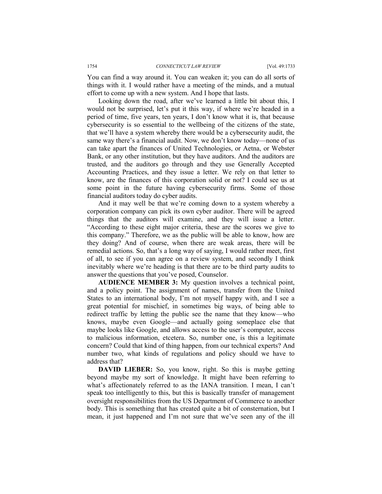You can find a way around it. You can weaken it; you can do all sorts of things with it. I would rather have a meeting of the minds, and a mutual effort to come up with a new system. And I hope that lasts.

Looking down the road, after we've learned a little bit about this, I would not be surprised, let's put it this way, if where we're headed in a period of time, five years, ten years, I don't know what it is, that because cybersecurity is so essential to the wellbeing of the citizens of the state, that we'll have a system whereby there would be a cybersecurity audit, the same way there's a financial audit. Now, we don't know today—none of us can take apart the finances of United Technologies, or Aetna, or Webster Bank, or any other institution, but they have auditors. And the auditors are trusted, and the auditors go through and they use Generally Accepted Accounting Practices, and they issue a letter. We rely on that letter to know, are the finances of this corporation solid or not? I could see us at some point in the future having cybersecurity firms. Some of those financial auditors today do cyber audits.

And it may well be that we're coming down to a system whereby a corporation company can pick its own cyber auditor. There will be agreed things that the auditors will examine, and they will issue a letter. "According to these eight major criteria, these are the scores we give to this company." Therefore, we as the public will be able to know, how are they doing? And of course, when there are weak areas, there will be remedial actions. So, that's a long way of saying, I would rather meet, first of all, to see if you can agree on a review system, and secondly I think inevitably where we're heading is that there are to be third party audits to answer the questions that you've posed, Counselor.

**AUDIENCE MEMBER 3:** My question involves a technical point, and a policy point. The assignment of names, transfer from the United States to an international body, I'm not myself happy with, and I see a great potential for mischief, in sometimes big ways, of being able to redirect traffic by letting the public see the name that they know—who knows, maybe even Google—and actually going someplace else that maybe looks like Google, and allows access to the user's computer, access to malicious information, etcetera. So, number one, is this a legitimate concern? Could that kind of thing happen, from our technical experts? And number two, what kinds of regulations and policy should we have to address that?

**DAVID LIEBER:** So, you know, right. So this is maybe getting beyond maybe my sort of knowledge. It might have been referring to what's affectionately referred to as the IANA transition. I mean, I can't speak too intelligently to this, but this is basically transfer of management oversight responsibilities from the US Department of Commerce to another body. This is something that has created quite a bit of consternation, but I mean, it just happened and I'm not sure that we've seen any of the ill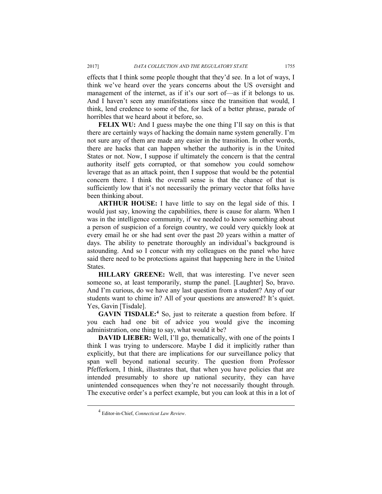effects that I think some people thought that they'd see. In a lot of ways, I think we've heard over the years concerns about the US oversight and management of the internet, as if it's our sort of—as if it belongs to us. And I haven't seen any manifestations since the transition that would, I think, lend credence to some of the, for lack of a better phrase, parade of horribles that we heard about it before, so.

**FELIX WU:** And I guess maybe the one thing I'll say on this is that there are certainly ways of hacking the domain name system generally. I'm not sure any of them are made any easier in the transition. In other words, there are hacks that can happen whether the authority is in the United States or not. Now, I suppose if ultimately the concern is that the central authority itself gets corrupted, or that somehow you could somehow leverage that as an attack point, then I suppose that would be the potential concern there. I think the overall sense is that the chance of that is sufficiently low that it's not necessarily the primary vector that folks have been thinking about.

**ARTHUR HOUSE:** I have little to say on the legal side of this. I would just say, knowing the capabilities, there is cause for alarm. When I was in the intelligence community, if we needed to know something about a person of suspicion of a foreign country, we could very quickly look at every email he or she had sent over the past 20 years within a matter of days. The ability to penetrate thoroughly an individual's background is astounding. And so I concur with my colleagues on the panel who have said there need to be protections against that happening here in the United States.

**HILLARY GREENE:** Well, that was interesting. I've never seen someone so, at least temporarily, stump the panel. [Laughter] So, bravo. And I'm curious, do we have any last question from a student? Any of our students want to chime in? All of your questions are answered? It's quiet. Yes, Gavin [Tisdale].

GAVIN TISDALE:<sup>4</sup> So, just to reiterate a question from before. If you each had one bit of advice you would give the incoming administration, one thing to say, what would it be?

**DAVID LIEBER:** Well, I'll go, thematically, with one of the points I think I was trying to underscore. Maybe I did it implicitly rather than explicitly, but that there are implications for our surveillance policy that span well beyond national security. The question from Professor Pfefferkorn, I think, illustrates that, that when you have policies that are intended presumably to shore up national security, they can have unintended consequences when they're not necessarily thought through. The executive order's a perfect example, but you can look at this in a lot of

 $\overline{a}$ Editor-in-Chief, *Connecticut Law Review*.